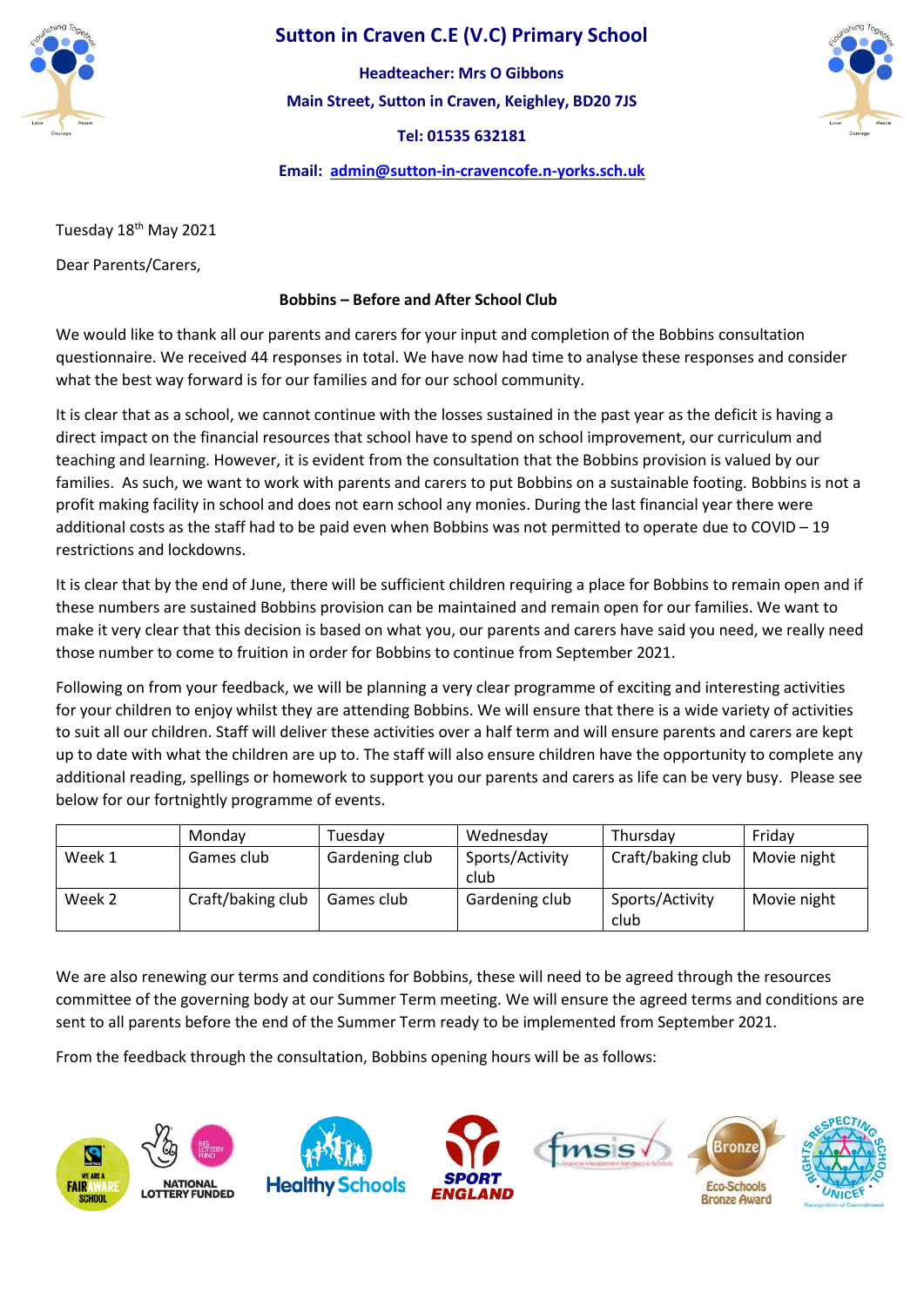

## **Sutton in Craven C.E (V.C) Primary School**

**Main Street, Sutton in Craven, Keighley, BD20 7JS Tel: 01535 632181 Headteacher: Mrs O Gibbons**

**Email: [admin@sutton-in-cravencofe.n-yorks.sch.uk](mailto:admin@sutton-in-cravencofe.n-yorks.sch.uk)**



Tuesday 18th May 2021

Dear Parents/Carers,

### **Bobbins – Before and After School Club**

We would like to thank all our parents and carers for your input and completion of the Bobbins consultation questionnaire. We received 44 responses in total. We have now had time to analyse these responses and consider what the best way forward is for our families and for our school community.

It is clear that as a school, we cannot continue with the losses sustained in the past year as the deficit is having a direct impact on the financial resources that school have to spend on school improvement, our curriculum and teaching and learning. However, it is evident from the consultation that the Bobbins provision is valued by our families. As such, we want to work with parents and carers to put Bobbins on a sustainable footing. Bobbins is not a profit making facility in school and does not earn school any monies. During the last financial year there were additional costs as the staff had to be paid even when Bobbins was not permitted to operate due to COVID – 19 restrictions and lockdowns.

It is clear that by the end of June, there will be sufficient children requiring a place for Bobbins to remain open and if these numbers are sustained Bobbins provision can be maintained and remain open for our families. We want to make it very clear that this decision is based on what you, our parents and carers have said you need, we really need those number to come to fruition in order for Bobbins to continue from September 2021.

Following on from your feedback, we will be planning a very clear programme of exciting and interesting activities for your children to enjoy whilst they are attending Bobbins. We will ensure that there is a wide variety of activities to suit all our children. Staff will deliver these activities over a half term and will ensure parents and carers are kept up to date with what the children are up to. The staff will also ensure children have the opportunity to complete any additional reading, spellings or homework to support you our parents and carers as life can be very busy. Please see below for our fortnightly programme of events.

|        | Monday            | Tuesdav        | Wednesday               | Thursdav                | Fridav      |
|--------|-------------------|----------------|-------------------------|-------------------------|-------------|
| Week 1 | Games club        | Gardening club | Sports/Activity<br>club | Craft/baking club       | Movie night |
| Week 2 | Craft/baking club | Games club     | Gardening club          | Sports/Activity<br>club | Movie night |

We are also renewing our terms and conditions for Bobbins, these will need to be agreed through the resources committee of the governing body at our Summer Term meeting. We will ensure the agreed terms and conditions are sent to all parents before the end of the Summer Term ready to be implemented from September 2021.

From the feedback through the consultation, Bobbins opening hours will be as follows: